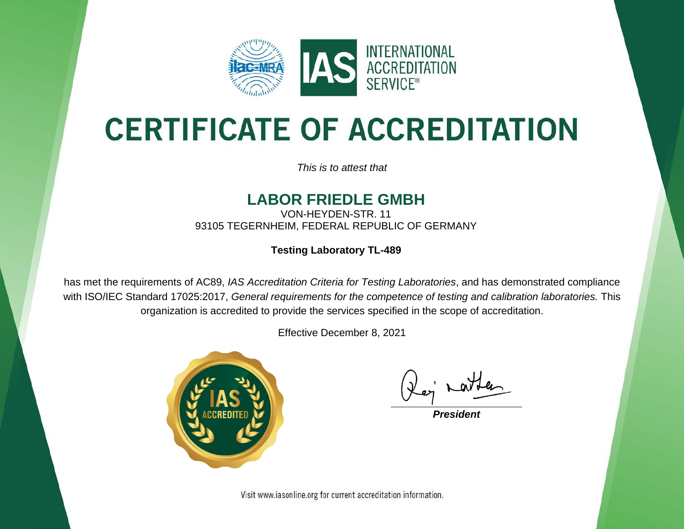

# **CERTIFICATE OF ACCREDITATION**

*This is to attest that*

#### **LABOR FRIEDLE GMBH**

VON-HEYDEN-STR. 11 93105 TEGERNHEIM, FEDERAL REPUBLIC OF GERMANY

**Testing Laboratory TL-489**

has met the requirements of AC89, *IAS Accreditation Criteria for Testing Laboratories*, and has demonstrated compliance with ISO/IEC Standard 17025:2017, *General requirements for the competence of testing and calibration laboratories.* This organization is accredited to provide the services specified in the scope of accreditation.

Effective December 8, 2021



*President*

Visit www.iasonline.org for current accreditation information.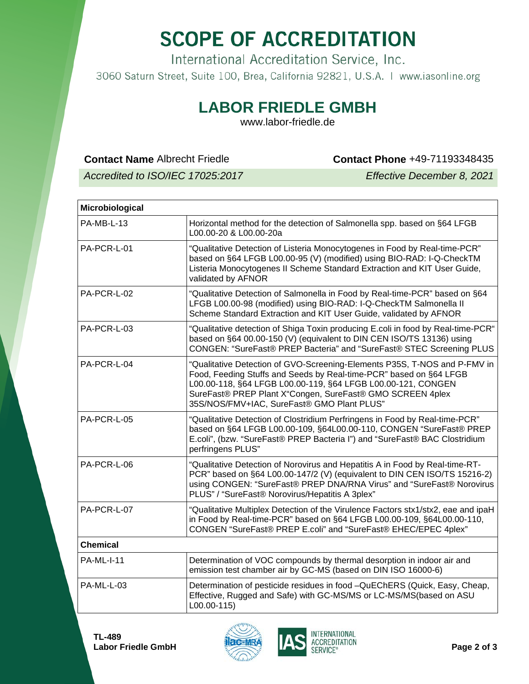## **SCOPE OF ACCREDITATION**

International Accreditation Service, Inc.

3060 Saturn Street, Suite 100, Brea, California 92821, U.S.A. | www.iasonline.org

### **LABOR FRIEDLE GMBH**

www.labor-friedle.de

**Contact Name** Albrecht Friedle **Contact Phone** +49-71193348435

*Accredited to ISO/IEC 17025:2017 Effective December 8, 2021*

| <b>Microbiological</b> |                                                                                                                                                                                                                                                                                                                            |
|------------------------|----------------------------------------------------------------------------------------------------------------------------------------------------------------------------------------------------------------------------------------------------------------------------------------------------------------------------|
| PA-MB-L-13             | Horizontal method for the detection of Salmonella spp. based on §64 LFGB<br>L00.00-20 & L00.00-20a                                                                                                                                                                                                                         |
| PA-PCR-L-01            | "Qualitative Detection of Listeria Monocytogenes in Food by Real-time-PCR"<br>based on §64 LFGB L00.00-95 (V) (modified) using BIO-RAD: I-Q-CheckTM<br>Listeria Monocytogenes II Scheme Standard Extraction and KIT User Guide,<br>validated by AFNOR                                                                      |
| PA-PCR-L-02            | "Qualitative Detection of Salmonella in Food by Real-time-PCR" based on §64<br>LFGB L00.00-98 (modified) using BIO-RAD: I-Q-CheckTM Salmonella II<br>Scheme Standard Extraction and KIT User Guide, validated by AFNOR                                                                                                     |
| PA-PCR-L-03            | "Qualitative detection of Shiga Toxin producing E.coli in food by Real-time-PCR"<br>based on §64 00.00-150 (V) (equivalent to DIN CEN ISO/TS 13136) using<br>CONGEN: "SureFast® PREP Bacteria" and "SureFast® STEC Screening PLUS                                                                                          |
| PA-PCR-L-04            | "Qualitative Detection of GVO-Screening-Elements P35S, T-NOS and P-FMV in<br>Food, Feeding Stuffs and Seeds by Real-time-PCR" based on §64 LFGB<br>L00.00-118, §64 LFGB L00.00-119, §64 LFGB L00.00-121, CONGEN<br>SureFast® PREP Plant X"Congen, SureFast® GMO SCREEN 4plex<br>35S/NOS/FMV+IAC, SureFast® GMO Plant PLUS" |
| PA-PCR-L-05            | "Qualitative Detection of Clostridium Perfringens in Food by Real-time-PCR"<br>based on §64 LFGB L00.00-109, §64L00.00-110, CONGEN "SureFast® PREP<br>E.coli", (bzw. "SureFast® PREP Bacteria I") and "SureFast® BAC Clostridium<br>perfringens PLUS"                                                                      |
| PA-PCR-L-06            | "Qualitative Detection of Norovirus and Hepatitis A in Food by Real-time-RT-<br>PCR" based on §64 L00.00-147/2 (V) (equivalent to DIN CEN ISO/TS 15216-2)<br>using CONGEN: "SureFast® PREP DNA/RNA Virus" and "SureFast® Norovirus<br>PLUS" / "SureFast® Norovirus/Hepatitis A 3plex"                                      |
| PA-PCR-L-07            | "Qualitative Multiplex Detection of the Virulence Factors stx1/stx2, eae and ipaH<br>in Food by Real-time-PCR" based on §64 LFGB L00.00-109, §64L00.00-110,<br>CONGEN "SureFast® PREP E.coli" and "SureFast® EHEC/EPEC 4plex"                                                                                              |
| <b>Chemical</b>        |                                                                                                                                                                                                                                                                                                                            |
| <b>PA-ML-I-11</b>      | Determination of VOC compounds by thermal desorption in indoor air and<br>emission test chamber air by GC-MS (based on DIN ISO 16000-6)                                                                                                                                                                                    |
| PA-ML-L-03             | Determination of pesticide residues in food -QuEChERS (Quick, Easy, Cheap,<br>Effective, Rugged and Safe) with GC-MS/MS or LC-MS/MS(based on ASU<br>L00.00-115)                                                                                                                                                            |